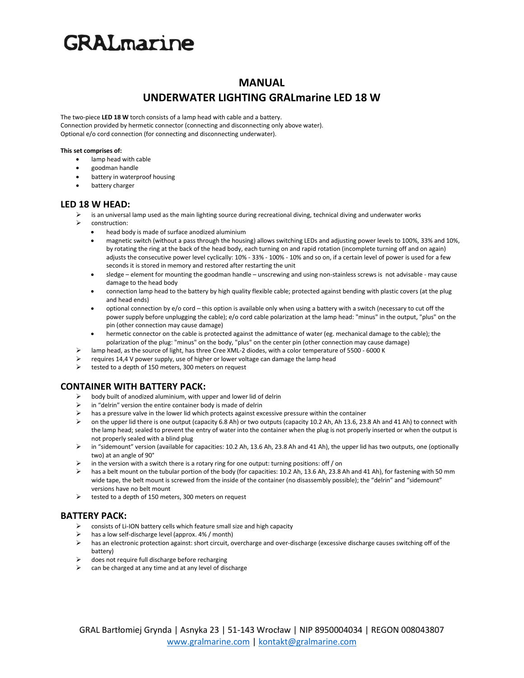# **GRAL**marine

## **MANUAL**

## **UNDERWATER LIGHTING GRALmarine LED 18 W**

The two-piece **LED 18 W** torch consists of a lamp head with cable and a battery. Connection provided by hermetic connector (connecting and disconnecting only above water). Optional e/o cord connection (for connecting and disconnecting underwater).

#### **This set comprises of:**

- lamp head with cable
- goodman handle
- battery in waterproof housing
- battery charger

## **LED 18 W HEAD:**

- is an universal lamp used as the main lighting source during recreational diving, technical diving and underwater works
- construction:
	- head body is made of surface anodized aluminium
	- magnetic switch (without a pass through the housing) allows switching LEDs and adjusting power levels to 100%, 33% and 10%, by rotating the ring at the back of the head body, each turning on and rapid rotation (incomplete turning off and on again) adjusts the consecutive power level cyclically: 10% - 33% - 100% - 10% and so on, if a certain level of power is used for a few seconds it is stored in memory and restored after restarting the unit
	- sledge element for mounting the goodman handle unscrewing and using non-stainless screws is not advisable may cause damage to the head body
	- connection lamp head to the battery by high quality flexible cable; protected against bending with plastic covers (at the plug and head ends)
	- optional connection by e/o cord this option is available only when using a battery with a switch (necessary to cut off the power supply before unplugging the cable); e/o cord cable polarization at the lamp head: "minus" in the output, "plus" on the pin (other connection may cause damage)
	- hermetic connector on the cable is protected against the admittance of water (eg. mechanical damage to the cable); the polarization of the plug: "minus" on the body, "plus" on the center pin (other connection may cause damage)
- ➢ lamp head, as the source of light, has three Cree XML-2 diodes, with a color temperature of 5500 6000 K
- ➢ requires 14,4 V power supply, use of higher or lower voltage can damage the lamp head
- ➢ tested to a depth of 150 meters, 300 meters on request

## **CONTAINER WITH BATTERY PACK:**

- body built of anodized aluminium, with upper and lower lid of delrin
- in "delrin" version the entire container body is made of delrin
- ightarrow has a pressure valve in the lower lid which protects against excessive pressure within the container<br>  $\geq$  00 the unner lid there is one output (canacity 6.8 Ab) or two outputs (canacity 10.2 Ab, Ab, 13.6, 23
- ➢ on the upper lid there is one output (capacity 6.8 Ah) or two outputs (capacity 10.2 Ah, Ah 13.6, 23.8 Ah and 41 Ah) to connect with the lamp head; sealed to prevent the entry of water into the container when the plug is not properly inserted or when the output is not properly sealed with a blind plug
- ➢ in "sidemount" version (available for capacities: 10.2 Ah, 13.6 Ah, 23.8 Ah and 41 Ah), the upper lid has two outputs, one (optionally two) at an angle of 90°
- in the version with a switch there is a rotary ring for one output: turning positions: off / on
- $\triangleright$  has a belt mount on the tubular portion of the body (for capacities: 10.2 Ah, 13.6 Ah, 23.8 Ah and 41 Ah), for fastening with 50 mm wide tape, the belt mount is screwed from the inside of the container (no disassembly possible); the "delrin" and "sidemount" versions have no belt mount
- $\triangleright$  tested to a depth of 150 meters, 300 meters on request

## **BATTERY PACK:**

- ➢ consists of Li-ION battery cells which feature small size and high capacity
- has a low self-discharge level (approx. 4% / month)
- ➢ has an electronic protection against: short circuit, overcharge and over-discharge (excessive discharge causes switching off of the battery)
- ➢ does not require full discharge before recharging
- can be charged at any time and at any level of discharge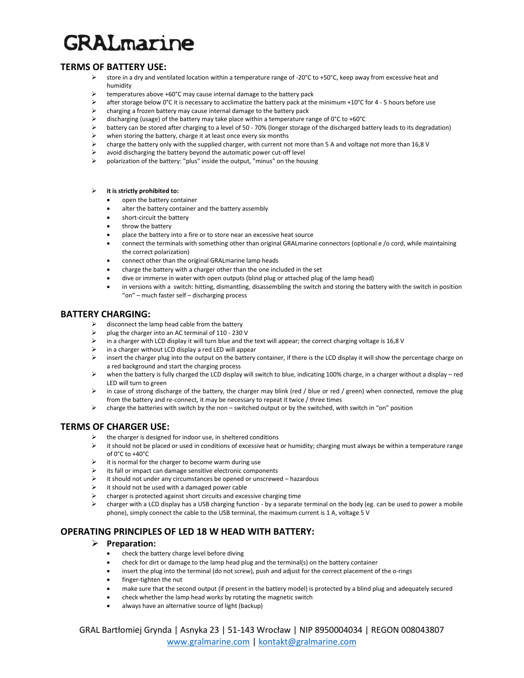# **GRALmarine**

## **TERMS OF BATTERY USE:**

- ➢ store in a dry and ventilated location within a temperature range of -20°C to +50°C, keep away from excessive heat and humidity
- ➢ temperatures above +60°C may cause internal damage to the battery pack
- $\triangleright$  after storage below 0°C it is necessary to acclimatize the battery pack at the minimum +10°C for 4 5 hours before use
- ➢ charging a frozen battery may cause internal damage to the battery pack
- $\ge$  discharging (usage) of the battery may take place within a temperature range of 0°C to +60°C<br>battery can be stored after charging to a level of 50 70% (longer storage of the discharged bat
- ➢ battery can be stored after charging to a level of 50 70% (longer storage of the discharged battery leads to its degradation)
- when storing the battery, charge it at least once every six months
- ➢ charge the battery only with the supplied charger, with current not more than 5 A and voltage not more than 16,8 V
- $\triangleright$  avoid discharging the battery beyond the automatic power cut-off level
- ➢ polarization of the battery: "plus" inside the output, "minus" on the housing

#### ➢ **it is strictly prohibited to:**

- open the battery container
- alter the battery container and the battery assembly
- short-circuit the battery
- throw the battery
- place the battery into a fire or to store near an excessive heat source
- connect the terminals with something other than original GRALmarine connectors (optional e /o cord, while maintaining the correct polarization)
- connect other than the original GRALmarine lamp heads
- charge the battery with a charger other than the one included in the set
- dive or immerse in water with open outputs (blind plug or attached plug of the lamp head)
- in versions with a switch: hitting, dismantling, disassembling the switch and storing the battery with the switch in position "on" – much faster self – discharging process

### **BATTERY CHARGING:**

- disconnect the lamp head cable from the battery
- ➢ plug the charger into an AC terminal of 110 230 V
- in a charger with LCD display it will turn blue and the text will appear; the correct charging voltage is 16,8 V
- ➢ in a charger without LCD display a red LED will appear
- ➢ insert the charger plug into the output on the battery container, if there is the LCD display it will show the percentage charge on a red background and start the charging process
- ➢ when the battery is fully charged the LCD display will switch to blue, indicating 100% charge, in a charger without a display red LED will turn to green
- $\triangleright$  in case of strong discharge of the battery, the charger may blink (red / blue or red / green) when connected, remove the plug from the battery and re-connect, it may be necessary to repeat it twice / three times
- $\triangleright$  charge the batteries with switch by the non switched output or by the switched, with switch in "on" position

## **TERMS OF CHARGER USE:**

- $\triangleright$  the charger is designed for indoor use, in sheltered conditions
- $\triangleright$  it should not be placed or used in conditions of excessive heat or humidity; charging must always be within a temperature range of 0°C to +40°C
- $\triangleright$  it is normal for the charger to become warm during use
- its fall or impact can damage sensitive electronic components
- it should not under any circumstances be opened or unscrewed hazardous
- $\triangleright$  it should not be used with a damaged power cable
- ➢ charger is protected against short circuits and excessive charging time
- ➢ charger with a LCD display has a USB charging function by a separate terminal on the body (eg. can be used to power a mobile phone), simply connect the cable to the USB terminal, the maximum current is 1 A, voltage 5 V

## **OPERATING PRINCIPLES OF LED 18 W HEAD WITH BATTERY:**

## ➢ **Preparation:**

- check the battery charge level before diving
- check for dirt or damage to the lamp head plug and the terminal(s) on the battery container
- insert the plug into the terminal (do not screw), push and adjust for the correct placement of the o-rings
- finger-tighten the nut
- make sure that the second output (if present in the battery model) is protected by a blind plug and adequately secured
- check whether the lamp head works by rotating the magnetic switch
- always have an alternative source of light (backup)